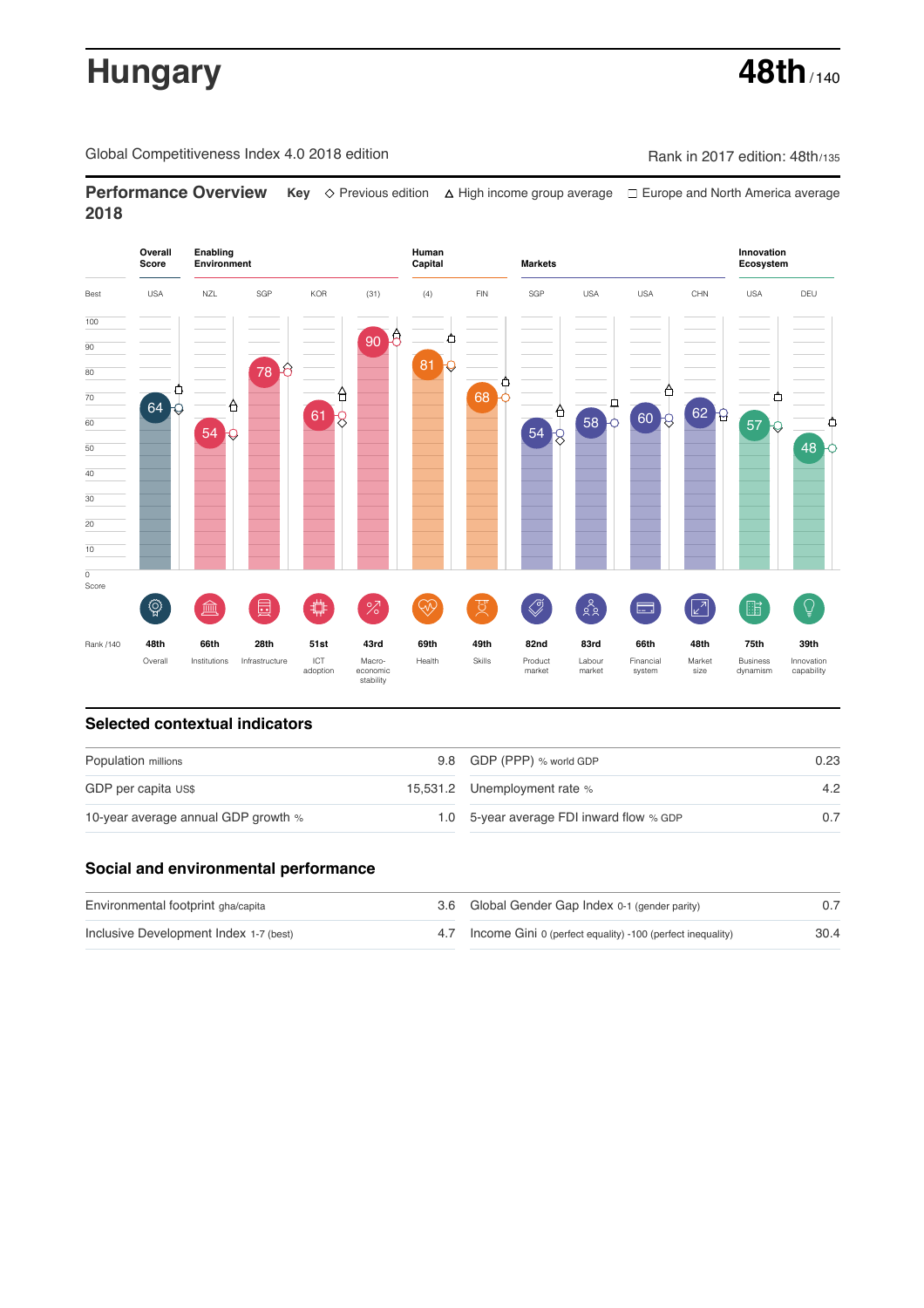# **Hungary 48th** / 140

Global Competitiveness Index 4.0 2018 edition Company Rank in 2017 edition: 48th/135

**Performance Overview** Key  $\Diamond$  Previous edition ∆ High income group average  $\Box$  Europe and North America average **2018**



# **Selected contextual indicators**

| Population millions                 | 9.8 GDP (PPP) % world GDP                | 0.23 |
|-------------------------------------|------------------------------------------|------|
| GDP per capita US\$                 | 15,531.2 Unemployment rate %             | 4.2  |
| 10-year average annual GDP growth % | 1.0 5-year average FDI inward flow % GDP |      |

# **Social and environmental performance**

| Environmental footprint gha/capita     | 3.6 Global Gender Gap Index 0-1 (gender parity)                |      |
|----------------------------------------|----------------------------------------------------------------|------|
| Inclusive Development Index 1-7 (best) | 4.7 Income Gini 0 (perfect equality) -100 (perfect inequality) | 30.4 |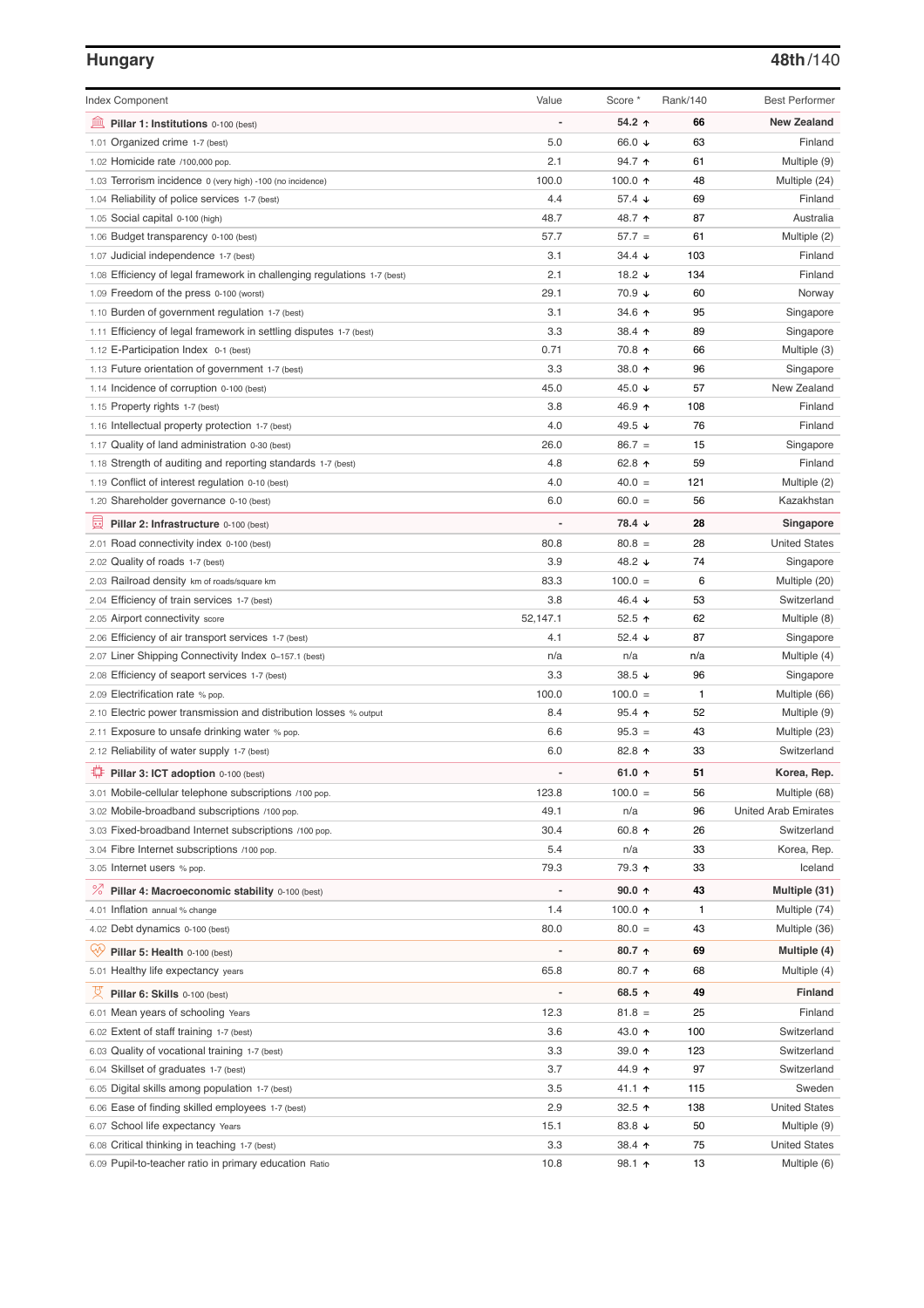### **Hungary 48th**/140

| <b>Index Component</b>                                                   | Value                        | Score *                  | Rank/140 | <b>Best Performer</b>       |
|--------------------------------------------------------------------------|------------------------------|--------------------------|----------|-----------------------------|
| 寙<br>Pillar 1: Institutions 0-100 (best)                                 |                              | 54.2 ↑                   | 66       | <b>New Zealand</b>          |
| Organized crime 1-7 (best)<br>1.01                                       | 5.0                          | 66.0 ↓                   | 63       | Finland                     |
| 1.02 Homicide rate /100,000 pop.                                         | 2.1                          | 94.7 ↑                   | 61       | Multiple (9)                |
| 1.03 Terrorism incidence 0 (very high) -100 (no incidence)               | 100.0                        | 100.0 $\uparrow$         | 48       | Multiple (24)               |
| 1.04 Reliability of police services 1-7 (best)                           | 4.4                          | 57.4 $\sqrt{ }$          | 69       | Finland                     |
| 1.05 Social capital 0-100 (high)                                         | 48.7                         | 48.7 ↑                   | 87       | Australia                   |
| 1.06 Budget transparency 0-100 (best)                                    | 57.7                         | $57.7 =$                 | 61       | Multiple (2)                |
| 1.07 Judicial independence 1-7 (best)                                    | 3.1                          | $34.4 \; \downarrow$     | 103      | Finland                     |
| 1.08 Efficiency of legal framework in challenging regulations 1-7 (best) | 2.1                          | 18.2 $\sqrt{ }$          | 134      | Finland                     |
| 1.09 Freedom of the press 0-100 (worst)                                  | 29.1                         | 70.9 ↓                   | 60       | Norway                      |
| 1.10 Burden of government regulation 1-7 (best)                          | 3.1                          | 34.6 ↑                   | 95       | Singapore                   |
| 1.11 Efficiency of legal framework in settling disputes 1-7 (best)       | 3.3                          | 38.4 ↑                   | 89       | Singapore                   |
| 1.12 E-Participation Index 0-1 (best)                                    | 0.71                         | 70.8 ↑                   | 66       | Multiple (3)                |
| 1.13 Future orientation of government 1-7 (best)                         | 3.3                          | 38.0 ↑                   | 96       | Singapore                   |
| 1.14 Incidence of corruption 0-100 (best)                                | 45.0                         | 45.0 ↓                   | 57       | New Zealand                 |
| 1.15 Property rights 1-7 (best)                                          | 3.8                          | 46.9 ↑                   | 108      | Finland                     |
| 1.16 Intellectual property protection 1-7 (best)                         | 4.0                          | 49.5 ↓                   | 76       | Finland                     |
| 1.17 Quality of land administration 0-30 (best)                          | 26.0                         | $86.7 =$                 | 15       | Singapore                   |
| 1.18 Strength of auditing and reporting standards 1-7 (best)             | 4.8                          | 62.8 ↑                   | 59       | Finland                     |
| 1.19 Conflict of interest regulation 0-10 (best)                         | 4.0                          | $40.0 =$                 | 121      | Multiple (2)                |
| 1.20 Shareholder governance 0-10 (best)                                  | 6.0                          | $60.0 =$                 | 56       | Kazakhstan                  |
| 員<br>Pillar 2: Infrastructure 0-100 (best)                               |                              | 78.4 ↓                   | 28       | Singapore                   |
| 2.01 Road connectivity index 0-100 (best)                                | 80.8                         | $80.8 =$                 | 28       | <b>United States</b>        |
| 2.02 Quality of roads 1-7 (best)                                         | 3.9                          | 48.2 ↓                   | 74       | Singapore                   |
| 2.03 Railroad density km of roads/square km                              | 83.3                         | $100.0 =$                | 6        | Multiple (20)               |
| 2.04 Efficiency of train services 1-7 (best)                             | 3.8                          | 46.4 ↓                   | 53       | Switzerland                 |
| 2.05 Airport connectivity score                                          | 52,147.1                     | 52.5 $\uparrow$          | 62       | Multiple (8)                |
| 2.06 Efficiency of air transport services 1-7 (best)                     | 4.1                          | 52.4 $\sqrt{ }$          | 87       | Singapore                   |
| 2.07 Liner Shipping Connectivity Index 0-157.1 (best)                    | n/a                          | n/a                      | n/a      | Multiple (4)                |
| 2.08 Efficiency of seaport services 1-7 (best)                           | 3.3                          | 38.5 $\sqrt{ }$          | 96       | Singapore                   |
| 2.09 Electrification rate % pop.                                         | 100.0                        | $100.0 =$                | 1        | Multiple (66)               |
| 2.10 Electric power transmission and distribution losses % output        | 8.4                          | $95.4$ 1                 | 52       | Multiple (9)                |
| 2.11 Exposure to unsafe drinking water % pop.                            | 6.6                          | $95.3 =$                 | 43       | Multiple (23)               |
| 2.12 Reliability of water supply 1-7 (best)                              | 6.0                          | 82.8 ↑                   | 33       | Switzerland                 |
| O<br>Pillar 3: ICT adoption 0-100 (best)                                 |                              | 61.0 $\uparrow$          | 51       | Korea, Rep.                 |
| 3.01 Mobile-cellular telephone subscriptions /100 pop.                   | 123.8                        | $100.0 =$                | 56       | Multiple (68)               |
| 3.02 Mobile-broadband subscriptions /100 pop.                            | 49.1                         | n/a                      | 96       | <b>United Arab Emirates</b> |
| 3.03 Fixed-broadband Internet subscriptions /100 pop.                    | 30.4                         | 60.8 ↑                   | 26       | Switzerland                 |
| 3.04 Fibre Internet subscriptions /100 pop.                              | 5.4                          | n/a                      | 33       | Korea, Rep.                 |
| 3.05 Internet users % pop.                                               | 79.3                         | 79.3 ↑                   | 33       | Iceland                     |
| ℅<br>Pillar 4: Macroeconomic stability 0-100 (best)                      | $\qquad \qquad \blacksquare$ | $90.0 \text{ } \uparrow$ | 43       | Multiple (31)               |
| 4.01 Inflation annual % change                                           | 1.4                          | 100.0 $\uparrow$         | 1        | Multiple (74)               |
| 4.02 Debt dynamics 0-100 (best)                                          | 80.0                         | $80.0 =$                 | 43       | Multiple (36)               |
| Qv<br>Pillar 5: Health 0-100 (best)                                      |                              | $80.7$ ↑                 | 69       | Multiple (4)                |
| 5.01 Healthy life expectancy years                                       | 65.8                         | 80.7 ↑                   | 68       | Multiple (4)                |
| 섯<br>Pillar 6: Skills 0-100 (best)                                       | $\overline{a}$               | 68.5 ↑                   | 49       | Finland                     |
| 6.01 Mean years of schooling Years                                       | 12.3                         | $81.8 =$                 | 25       | Finland                     |
| 6.02 Extent of staff training 1-7 (best)                                 | 3.6                          | 43.0 ↑                   | 100      | Switzerland                 |
| 6.03 Quality of vocational training 1-7 (best)                           | 3.3                          | 39.0 个                   | 123      | Switzerland                 |
| 6.04 Skillset of graduates 1-7 (best)                                    | 3.7                          | 44.9 ↑                   | 97       | Switzerland                 |
| 6.05 Digital skills among population 1-7 (best)                          | 3.5                          | 41.1 ተ                   | 115      | Sweden                      |
| 6.06 Ease of finding skilled employees 1-7 (best)                        | 2.9                          | 32.5 $\uparrow$          | 138      | <b>United States</b>        |
| 6.07 School life expectancy Years                                        | 15.1                         | 83.8 ↓                   | 50       | Multiple (9)                |
| 6.08 Critical thinking in teaching 1-7 (best)                            | 3.3                          | 38.4 ↑                   | 75       | <b>United States</b>        |
| 6.09 Pupil-to-teacher ratio in primary education Ratio                   | 10.8                         | 98.1 1                   | 13       | Multiple (6)                |